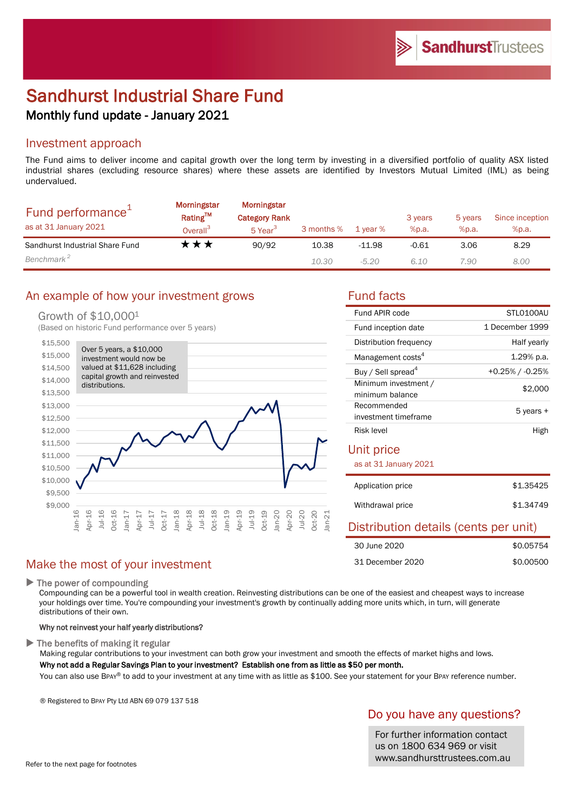# Sandhurst Industrial Share Fund Monthly fund update - January 2021

### Investment approach

The Fund aims to deliver income and capital growth over the long term by investing in a diversified portfolio of quality ASX listed industrial shares (excluding resource shares) where these assets are identified by Investors Mutual Limited (IML) as being undervalued.

| Fund performance <sup>+</sup><br>as at 31 January 2021 | Morningstar<br>Rating™<br>Overall <sup>3</sup> | Morningstar<br><b>Category Rank</b><br>5 Year <sup>3</sup> | 3 months % | 1 year % | 3 years<br>%p.a. | 5 years<br>%p.a. | Since inception<br>%p.a. |
|--------------------------------------------------------|------------------------------------------------|------------------------------------------------------------|------------|----------|------------------|------------------|--------------------------|
| Sandhurst Industrial Share Fund                        | <b>★★★</b>                                     | 90/92                                                      | 10.38      | $-11.98$ | $-0.61$          | 3.06             | 8.29                     |
| Benchmark <sup>2</sup>                                 |                                                |                                                            | 10.30      | $-5.20$  | 6.10             | 7.90             | 8.00                     |

## An example of how your investment grows Fund facts

### Growth of \$10,0001

(Based on historic Fund performance over 5 years)



| Fund APIR code                          | STLO100AU          |
|-----------------------------------------|--------------------|
| Fund inception date                     | 1 December 1999    |
| Distribution frequency                  | Half yearly        |
| Management costs <sup>4</sup>           | $1.29\%$ p.a.      |
| Buy / Sell spread <sup>4</sup>          | $+0.25\%$ / -0.25% |
| Minimum investment /<br>minimum balance | \$2,000            |
| Recommended<br>investment timeframe     | 5 years +          |
| Risk level                              | High               |
|                                         |                    |

### Unit price

as at 31 January 2021

| Application price | \$1,35425 |
|-------------------|-----------|
| Withdrawal price  | \$1,34749 |

## Distribution details (cents per unit)

| 30 June 2020     | \$0.05754 |
|------------------|-----------|
| 31 December 2020 | \$0.00500 |

## Make the most of your investment

▶ The power of compounding

Compounding can be a powerful tool in wealth creation. Reinvesting distributions can be one of the easiest and cheapest ways to increase your holdings over time. You're compounding your investment's growth by continually adding more units which, in turn, will generate distributions of their own.

#### Why not reinvest your half yearly distributions?

 $\blacktriangleright$  The benefits of making it regular

Making regular contributions to your investment can both grow your investment and smooth the effects of market highs and lows.

Why not add a Regular Savings Plan to your investment? Establish one from as little as \$50 per month.

You can also use BPAY® to add to your investment at any time with as little as \$100. See your statement for your BPAY reference number.

® Registered to BPAY Pty Ltd ABN 69 079 137 518

## Do you have any questions?

For further information contact us on 1800 634 969 or visit www.sandhursttrustees.com.au